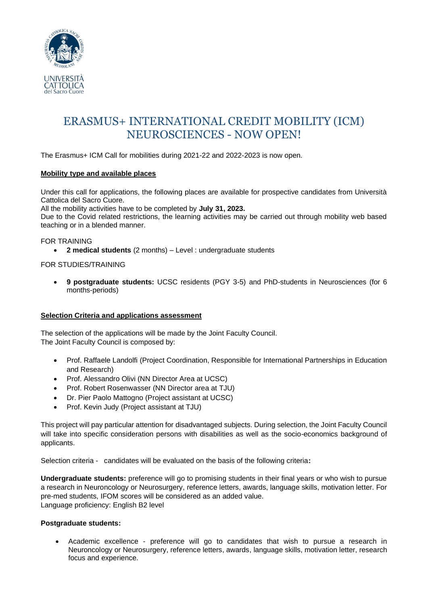

# ERASMUS+ INTERNATIONAL CREDIT MOBILITY (ICM) NEUROSCIENCES - NOW OPEN!

The Erasmus+ ICM Call for mobilities during 2021-22 and 2022-2023 is now open.

## **Mobility type and available places**

Under this call for applications, the following places are available for prospective candidates from Università Cattolica del Sacro Cuore.

All the mobility activities have to be completed by **July 31, 2023.**

Due to the Covid related restrictions, the learning activities may be carried out through mobility web based teaching or in a blended manner.

## FOR TRAINING

• **2 medical students** (2 months) – Level : undergraduate students

# FOR STUDIES/TRAINING

• **9 postgraduate students:** UCSC residents (PGY 3-5) and PhD-students in Neurosciences (for 6 months-periods)

## **Selection Criteria and applications assessment**

The selection of the applications will be made by the Joint Faculty Council. The Joint Faculty Council is composed by:

- Prof. Raffaele Landolfi (Project Coordination, Responsible for International Partnerships in Education and Research)
- Prof. Alessandro Olivi (NN Director Area at UCSC)
- Prof. Robert Rosenwasser (NN Director area at TJU)
- Dr. Pier Paolo Mattogno (Project assistant at UCSC)
- Prof. Kevin Judy (Project assistant at TJU)

This project will pay particular attention for disadvantaged subjects. During selection, the Joint Faculty Council will take into specific consideration persons with disabilities as well as the socio-economics background of applicants.

Selection criteria - candidates will be evaluated on the basis of the following criteria**:**

**Undergraduate students:** preference will go to promising students in their final years or who wish to pursue a research in Neuroncology or Neurosurgery, reference letters, awards, language skills, motivation letter. For pre-med students, IFOM scores will be considered as an added value. Language proficiency: English B2 level

## **Postgraduate students:**

• Academic excellence - preference will go to candidates that wish to pursue a research in Neuroncology or Neurosurgery, reference letters, awards, language skills, motivation letter, research focus and experience.